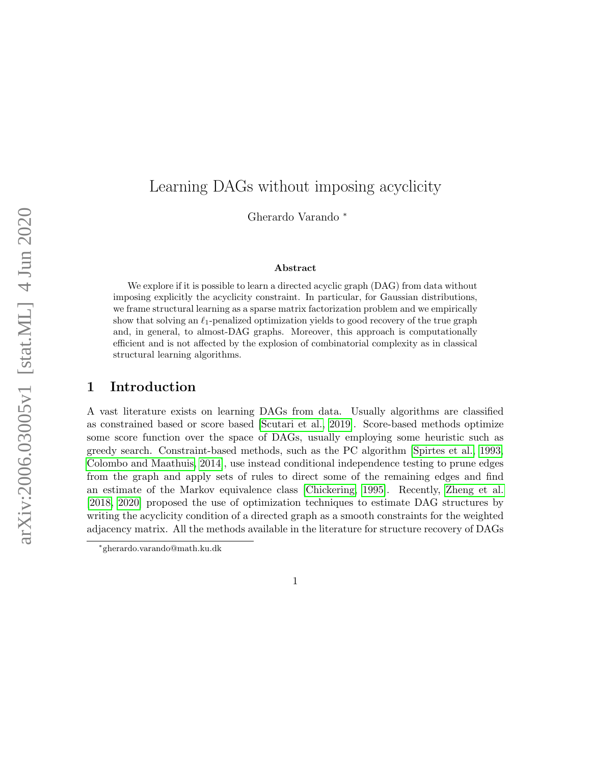# Learning DAGs without imposing acyclicity

Gherardo Varando <sup>∗</sup>

#### Abstract

We explore if it is possible to learn a directed acyclic graph (DAG) from data without imposing explicitly the acyclicity constraint. In particular, for Gaussian distributions, we frame structural learning as a sparse matrix factorization problem and we empirically show that solving an  $\ell_1$ -penalized optimization yields to good recovery of the true graph and, in general, to almost-DAG graphs. Moreover, this approach is computationally efficient and is not affected by the explosion of combinatorial complexity as in classical structural learning algorithms.

## 1 Introduction

A vast literature exists on learning DAGs from data. Usually algorithms are classified as constrained based or score based [\[Scutari et al., 2019\]](#page-14-0). Score-based methods optimize some score function over the space of DAGs, usually employing some heuristic such as greedy search. Constraint-based methods, such as the PC algorithm [\[Spirtes et al., 1993,](#page-15-0) [Colombo and Maathuis, 2014\]](#page-13-0), use instead conditional independence testing to prune edges from the graph and apply sets of rules to direct some of the remaining edges and find an estimate of the Markov equivalence class [\[Chickering, 1995\]](#page-13-1). Recently, [Zheng et al.](#page-15-1) [\[2018,](#page-15-1) [2020\]](#page-15-2) proposed the use of optimization techniques to estimate DAG structures by writing the acyclicity condition of a directed graph as a smooth constraints for the weighted adjacency matrix. All the methods available in the literature for structure recovery of DAGs

<sup>∗</sup> gherardo.varando@math.ku.dk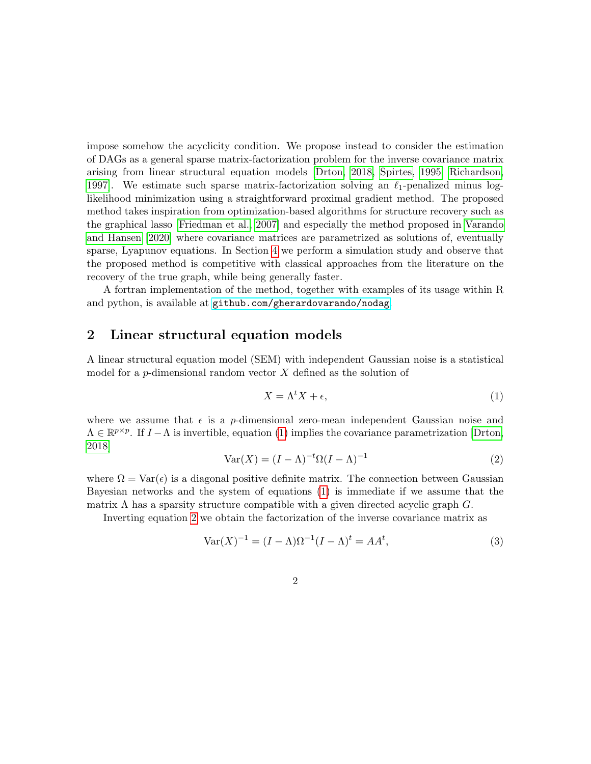impose somehow the acyclicity condition. We propose instead to consider the estimation of DAGs as a general sparse matrix-factorization problem for the inverse covariance matrix arising from linear structural equation models [\[Drton, 2018,](#page-13-2) [Spirtes, 1995,](#page-14-1) [Richardson,](#page-14-2) 1997. We estimate such sparse matrix-factorization solving an  $\ell_1$ -penalized minus loglikelihood minimization using a straightforward proximal gradient method. The proposed method takes inspiration from optimization-based algorithms for structure recovery such as the graphical lasso [\[Friedman et al., 2007\]](#page-13-3) and especially the method proposed in [Varando](#page-15-3) [and Hansen](#page-15-3) [\[2020\]](#page-15-3) where covariance matrices are parametrized as solutions of, eventually sparse, Lyapunov equations. In Section [4](#page-4-0) we perform a simulation study and observe that the proposed method is competitive with classical approaches from the literature on the recovery of the true graph, while being generally faster.

A fortran implementation of the method, together with examples of its usage within R and python, is available at [github.com/gherardovarando/nodag](https://github.com/gherardovarando/nodag).

### 2 Linear structural equation models

A linear structural equation model (SEM) with independent Gaussian noise is a statistical model for a p-dimensional random vector  $X$  defined as the solution of

<span id="page-1-0"></span>
$$
X = \Lambda^t X + \epsilon,\tag{1}
$$

where we assume that  $\epsilon$  is a p-dimensional zero-mean independent Gaussian noise and  $\Lambda \in \mathbb{R}^{p \times p}$ . If  $I - \Lambda$  is invertible, equation [\(1\)](#page-1-0) implies the covariance parametrization [\[Drton,](#page-13-2) [2018\]](#page-13-2)

<span id="page-1-1"></span>
$$
Var(X) = (I - \Lambda)^{-t} \Omega (I - \Lambda)^{-1}
$$
\n(2)

where  $\Omega = \text{Var}(\epsilon)$  is a diagonal positive definite matrix. The connection between Gaussian Bayesian networks and the system of equations [\(1\)](#page-1-0) is immediate if we assume that the matrix  $\Lambda$  has a sparsity structure compatible with a given directed acyclic graph  $G$ .

Inverting equation [2](#page-1-1) we obtain the factorization of the inverse covariance matrix as

<span id="page-1-2"></span>
$$
Var(X)^{-1} = (I - \Lambda)\Omega^{-1}(I - \Lambda)^t = AA^t,
$$
\n(3)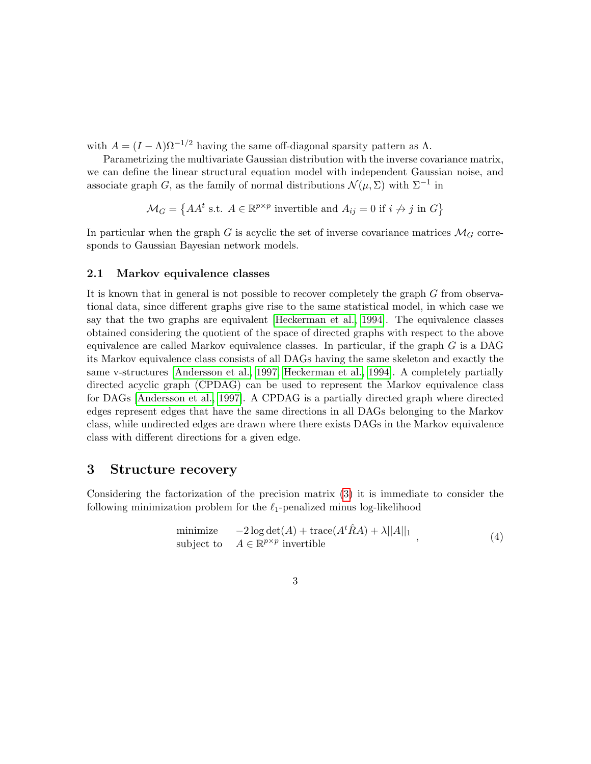with  $A = (I - \Lambda)\Omega^{-1/2}$  having the same off-diagonal sparsity pattern as  $\Lambda$ .

Parametrizing the multivariate Gaussian distribution with the inverse covariance matrix, we can define the linear structural equation model with independent Gaussian noise, and associate graph G, as the family of normal distributions  $\mathcal{N}(\mu, \Sigma)$  with  $\Sigma^{-1}$  in

$$
\mathcal{M}_G = \left\{ AA^t \text{ s.t. } A \in \mathbb{R}^{p \times p} \text{ invertible and } A_{ij} = 0 \text{ if } i \neq j \text{ in } G \right\}
$$

In particular when the graph G is acyclic the set of inverse covariance matrices  $\mathcal{M}_G$  corresponds to Gaussian Bayesian network models.

#### <span id="page-2-1"></span>2.1 Markov equivalence classes

It is known that in general is not possible to recover completely the graph G from observational data, since different graphs give rise to the same statistical model, in which case we say that the two graphs are equivalent [\[Heckerman et al., 1994\]](#page-14-3). The equivalence classes obtained considering the quotient of the space of directed graphs with respect to the above equivalence are called Markov equivalence classes. In particular, if the graph  $G$  is a DAG its Markov equivalence class consists of all DAGs having the same skeleton and exactly the same v-structures [\[Andersson et al., 1997,](#page-13-4) [Heckerman et al., 1994\]](#page-14-3). A completely partially directed acyclic graph (CPDAG) can be used to represent the Markov equivalence class for DAGs [\[Andersson et al., 1997\]](#page-13-4). A CPDAG is a partially directed graph where directed edges represent edges that have the same directions in all DAGs belonging to the Markov class, while undirected edges are drawn where there exists DAGs in the Markov equivalence class with different directions for a given edge.

### 3 Structure recovery

Considering the factorization of the precision matrix [\(3\)](#page-1-2) it is immediate to consider the following minimization problem for the  $\ell_1$ -penalized minus log-likelihood

<span id="page-2-0"></span>minimize 
$$
-2 \log \det(A) + \text{trace}(A^t \hat{R} A) + \lambda ||A||_1
$$
,  
subject to  $A \in \mathbb{R}^{p \times p}$  invertible (4)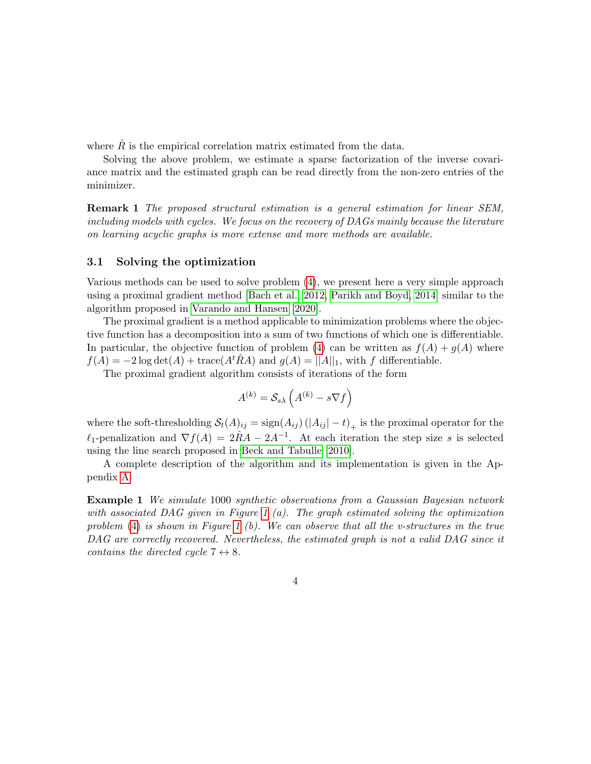where  $\hat{R}$  is the empirical correlation matrix estimated from the data.

Solving the above problem, we estimate a sparse factorization of the inverse covariance matrix and the estimated graph can be read directly from the non-zero entries of the minimizer.

Remark 1 The proposed structural estimation is a general estimation for linear SEM, including models with cycles. We focus on the recovery of DAGs mainly because the literature on learning acyclic graphs is more extense and more methods are available.

#### 3.1 Solving the optimization

Various methods can be used to solve problem [\(4\)](#page-2-0), we present here a very simple approach using a proximal gradient method [\[Bach et al., 2012,](#page-13-5) [Parikh and Boyd, 2014\]](#page-14-4) similar to the algorithm proposed in [Varando and Hansen](#page-15-3) [\[2020\]](#page-15-3).

The proximal gradient is a method applicable to minimization problems where the objective function has a decomposition into a sum of two functions of which one is differentiable. In particular, the objective function of problem [\(4\)](#page-2-0) can be written as  $f(A) + g(A)$  where  $f(A) = -2 \log \det(A) + \text{trace}(A^t \hat{R}A)$  and  $g(A) = ||A||_1$ , with f differentiable.

The proximal gradient algorithm consists of iterations of the form

$$
A^{(k)} = \mathcal{S}_{s\lambda} \left( A^{(k)} - s \nabla f \right)
$$

where the soft-thresholding  $\mathcal{S}_t(A)_{ij} = \text{sign}(A_{ij}) (|A_{ij}| - t)_{+}$  is the proximal operator for the  $\ell_1$ -penalization and  $\nabla f(A) = 2\hat{R}A - 2A^{-1}$ . At each iteration the step size s is selected using the line search proposed in [Beck and Tabulle](#page-13-6) [\[2010\]](#page-13-6).

A complete description of the algorithm and its implementation is given in the Appendix [A.](#page-11-0)

<span id="page-3-0"></span>Example 1 We simulate 1000 synthetic observations from a Gaussian Bayesian network with associated DAG given in Figure [1](#page-3-0)  $(a)$ . The graph estimated solving the optimization problem  $(4)$  is shown in Figure [1](#page-3-0) (b). We can observe that all the v-structures in the true DAG are correctly recovered. Nevertheless, the estimated graph is not a valid DAG since it contains the directed cycle  $7 \leftrightarrow 8$ .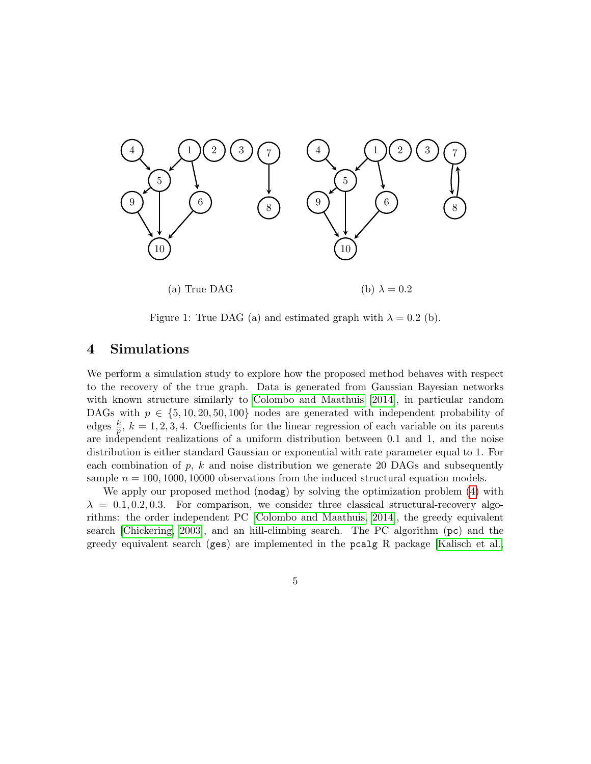

Figure 1: True DAG (a) and estimated graph with  $\lambda = 0.2$  (b).

## <span id="page-4-0"></span>4 Simulations

We perform a simulation study to explore how the proposed method behaves with respect to the recovery of the true graph. Data is generated from Gaussian Bayesian networks with known structure similarly to [Colombo and Maathuis](#page-13-0) [\[2014\]](#page-13-0), in particular random DAGs with  $p \in \{5, 10, 20, 50, 100\}$  nodes are generated with independent probability of edges  $\frac{k}{p}$ ,  $k = 1, 2, 3, 4$ . Coefficients for the linear regression of each variable on its parents are independent realizations of a uniform distribution between 0.1 and 1, and the noise distribution is either standard Gaussian or exponential with rate parameter equal to 1. For each combination of  $p$ ,  $k$  and noise distribution we generate 20 DAGs and subsequently sample  $n = 100, 1000, 10000$  observations from the induced structural equation models.

We apply our proposed method (nodag) by solving the optimization problem [\(4\)](#page-2-0) with  $\lambda = 0.1, 0.2, 0.3$ . For comparison, we consider three classical structural-recovery algorithms: the order independent PC [\[Colombo and Maathuis, 2014\]](#page-13-0), the greedy equivalent search [\[Chickering, 2003\]](#page-13-7), and an hill-climbing search. The PC algorithm (pc) and the greedy equivalent search (ges) are implemented in the pcalg R package [\[Kalisch et al.,](#page-14-5)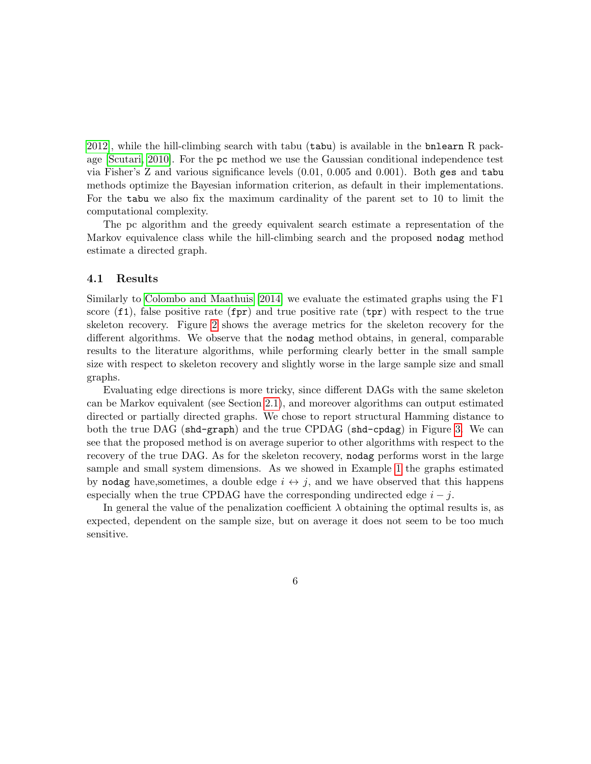[2012\]](#page-14-5), while the hill-climbing search with tabu (tabu) is available in the bnlearn R package [\[Scutari, 2010\]](#page-14-6). For the pc method we use the Gaussian conditional independence test via Fisher's Z and various significance levels (0.01, 0.005 and 0.001). Both ges and tabu methods optimize the Bayesian information criterion, as default in their implementations. For the tabu we also fix the maximum cardinality of the parent set to 10 to limit the computational complexity.

The pc algorithm and the greedy equivalent search estimate a representation of the Markov equivalence class while the hill-climbing search and the proposed nodag method estimate a directed graph.

#### 4.1 Results

Similarly to [Colombo and Maathuis](#page-13-0) [\[2014\]](#page-13-0) we evaluate the estimated graphs using the F1 score  $(f1)$ , false positive rate  $(fpr)$  and true positive rate  $(tpr)$  with respect to the true skeleton recovery. Figure [2](#page-7-0) shows the average metrics for the skeleton recovery for the different algorithms. We observe that the nodag method obtains, in general, comparable results to the literature algorithms, while performing clearly better in the small sample size with respect to skeleton recovery and slightly worse in the large sample size and small graphs.

Evaluating edge directions is more tricky, since different DAGs with the same skeleton can be Markov equivalent (see Section [2.1\)](#page-2-1), and moreover algorithms can output estimated directed or partially directed graphs. We chose to report structural Hamming distance to both the true DAG (shd-graph) and the true CPDAG (shd-cpdag) in Figure [3.](#page-8-0) We can see that the proposed method is on average superior to other algorithms with respect to the recovery of the true DAG. As for the skeleton recovery, nodag performs worst in the large sample and small system dimensions. As we showed in Example [1](#page-3-0) the graphs estimated by nodag have, sometimes, a double edge  $i \leftrightarrow j$ , and we have observed that this happens especially when the true CPDAG have the corresponding undirected edge  $i - j$ .

In general the value of the penalization coefficient  $\lambda$  obtaining the optimal results is, as expected, dependent on the sample size, but on average it does not seem to be too much sensitive.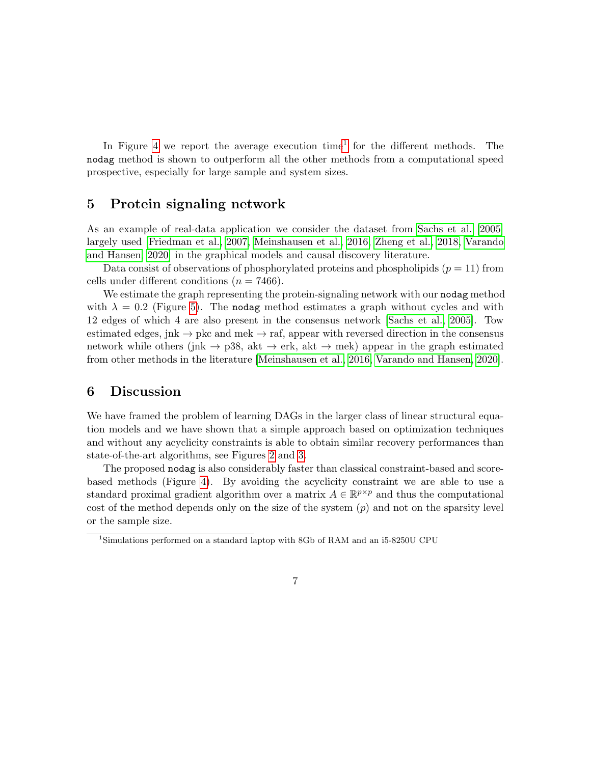In Figure [4](#page-9-0) we report the average execution time<sup>[1](#page-6-0)</sup> for the different methods. The nodag method is shown to outperform all the other methods from a computational speed prospective, especially for large sample and system sizes.

## 5 Protein signaling network

As an example of real-data application we consider the dataset from [Sachs et al.](#page-14-7) [\[2005\]](#page-14-7) largely used [\[Friedman et al., 2007,](#page-13-3) [Meinshausen et al., 2016,](#page-14-8) [Zheng et al., 2018,](#page-15-1) [Varando](#page-15-3) [and Hansen, 2020\]](#page-15-3) in the graphical models and causal discovery literature.

Data consist of observations of phosphorylated proteins and phospholipids  $(p = 11)$  from cells under different conditions ( $n = 7466$ ).

We estimate the graph representing the protein-signaling network with our nodag method with  $\lambda = 0.2$  (Figure [5\)](#page-10-0). The nodag method estimates a graph without cycles and with 12 edges of which 4 are also present in the consensus network [\[Sachs et al., 2005\]](#page-14-7). Tow estimated edges, jnk  $\rightarrow$  pkc and mek  $\rightarrow$  raf, appear with reversed direction in the consensus network while others (jnk  $\rightarrow$  p38, akt  $\rightarrow$  erk, akt  $\rightarrow$  mek) appear in the graph estimated from other methods in the literature [\[Meinshausen et al., 2016,](#page-14-8) [Varando and Hansen, 2020\]](#page-15-3).

## 6 Discussion

We have framed the problem of learning DAGs in the larger class of linear structural equation models and we have shown that a simple approach based on optimization techniques and without any acyclicity constraints is able to obtain similar recovery performances than state-of-the-art algorithms, see Figures [2](#page-7-0) and [3.](#page-8-0)

The proposed nodag is also considerably faster than classical constraint-based and scorebased methods (Figure [4\)](#page-9-0). By avoiding the acyclicity constraint we are able to use a standard proximal gradient algorithm over a matrix  $A \in \mathbb{R}^{p \times p}$  and thus the computational cost of the method depends only on the size of the system  $(p)$  and not on the sparsity level or the sample size.

<span id="page-6-0"></span><sup>1</sup>Simulations performed on a standard laptop with 8Gb of RAM and an i5-8250U CPU

<sup>7</sup>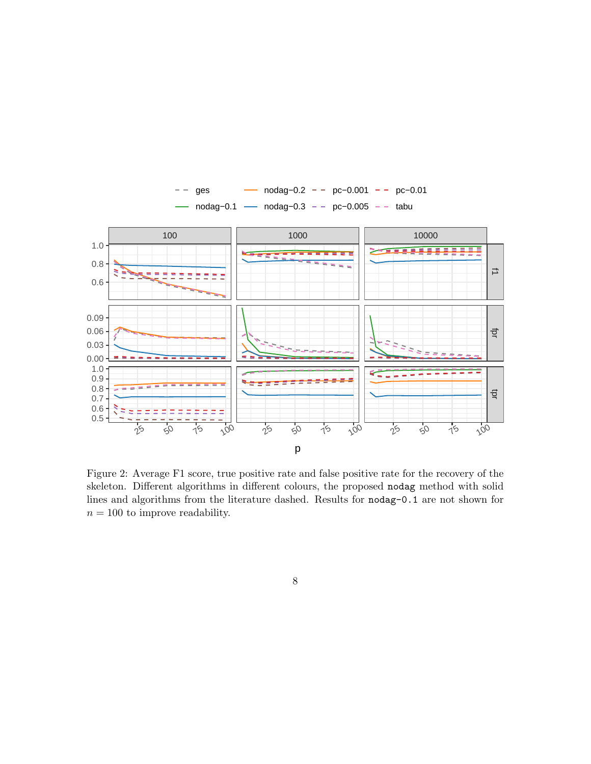

<span id="page-7-0"></span>Figure 2: Average F1 score, true positive rate and false positive rate for the recovery of the skeleton. Different algorithms in different colours, the proposed nodag method with solid lines and algorithms from the literature dashed. Results for nodag-0.1 are not shown for  $n = 100$  to improve readability.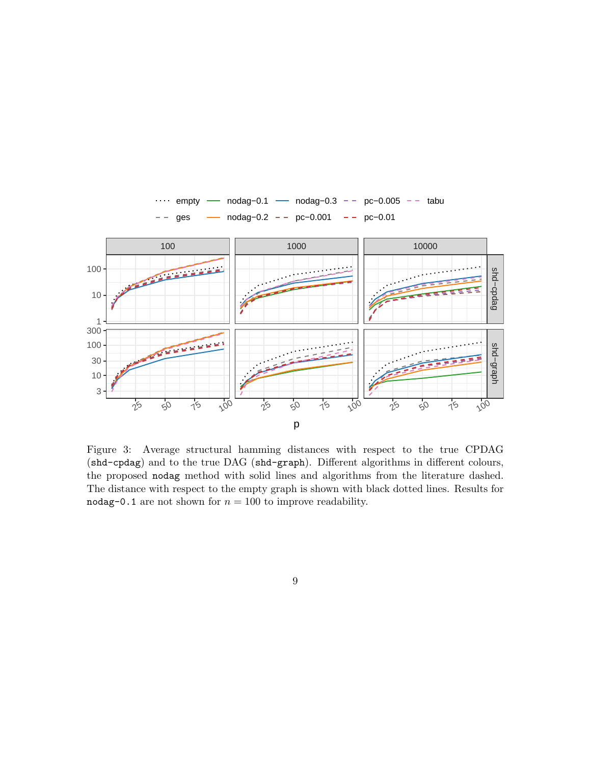

<span id="page-8-0"></span>Figure 3: Average structural hamming distances with respect to the true CPDAG (shd-cpdag) and to the true DAG (shd-graph). Different algorithms in different colours, the proposed nodag method with solid lines and algorithms from the literature dashed. The distance with respect to the empty graph is shown with black dotted lines. Results for nodag-0.1 are not shown for  $n = 100$  to improve readability.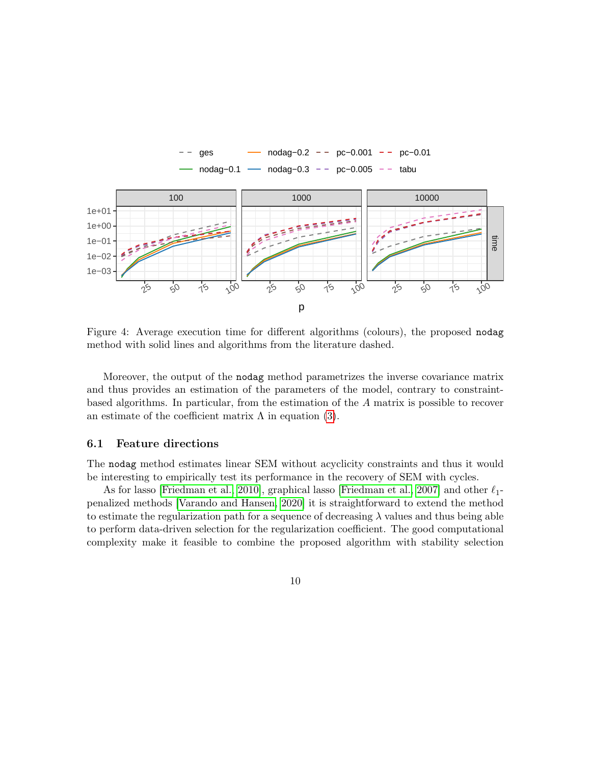

<span id="page-9-0"></span>Figure 4: Average execution time for different algorithms (colours), the proposed nodag method with solid lines and algorithms from the literature dashed.

Moreover, the output of the nodag method parametrizes the inverse covariance matrix and thus provides an estimation of the parameters of the model, contrary to constraintbased algorithms. In particular, from the estimation of the A matrix is possible to recover an estimate of the coefficient matrix  $\Lambda$  in equation [\(3\)](#page-1-2).

#### 6.1 Feature directions

The nodag method estimates linear SEM without acyclicity constraints and thus it would be interesting to empirically test its performance in the recovery of SEM with cycles.

As for lasso [\[Friedman et al., 2010\]](#page-13-8), graphical lasso [\[Friedman et al., 2007\]](#page-13-3) and other  $\ell_1$ penalized methods [\[Varando and Hansen, 2020\]](#page-15-3) it is straightforward to extend the method to estimate the regularization path for a sequence of decreasing  $\lambda$  values and thus being able to perform data-driven selection for the regularization coefficient. The good computational complexity make it feasible to combine the proposed algorithm with stability selection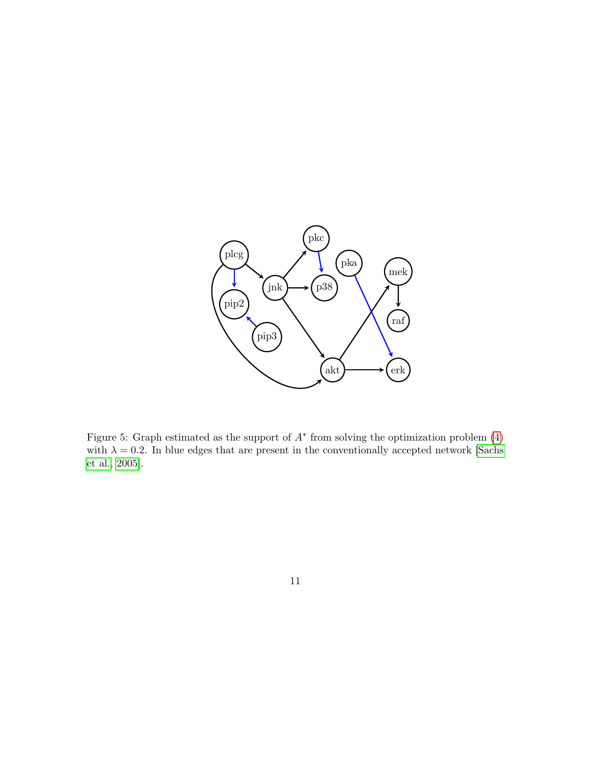

<span id="page-10-0"></span>Figure 5: Graph estimated as the support of  $A^*$  from solving the optimization problem  $(4)$ with  $\lambda = 0.2$ . In blue edges that are present in the conventionally accepted network [\[Sachs](#page-14-7) [et al., 2005\]](#page-14-7).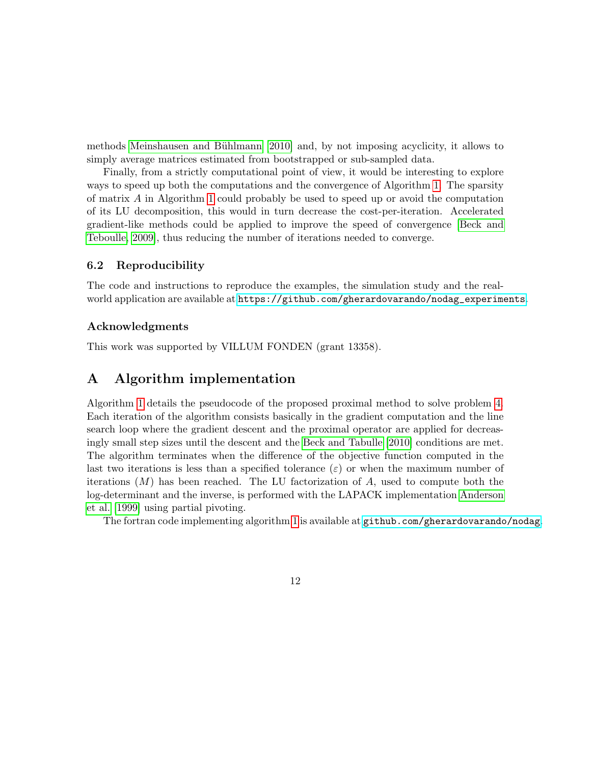methods Meinshausen and Bühlmann [\[2010\]](#page-14-9) and, by not imposing acyclicity, it allows to simply average matrices estimated from bootstrapped or sub-sampled data.

Finally, from a strictly computational point of view, it would be interesting to explore ways to speed up both the computations and the convergence of Algorithm [1.](#page-12-0) The sparsity of matrix A in Algorithm [1](#page-12-0) could probably be used to speed up or avoid the computation of its LU decomposition, this would in turn decrease the cost-per-iteration. Accelerated gradient-like methods could be applied to improve the speed of convergence [\[Beck and](#page-13-9) [Teboulle, 2009\]](#page-13-9), thus reducing the number of iterations needed to converge.

### 6.2 Reproducibility

The code and instructions to reproduce the examples, the simulation study and the realworld application are available at [https://github.com/gherardovarando/nodag\\_experiments](https://github.com/gherardovarando/nodag_experiments).

### Acknowledgments

This work was supported by VILLUM FONDEN (grant 13358).

## <span id="page-11-0"></span>A Algorithm implementation

Algorithm [1](#page-12-0) details the pseudocode of the proposed proximal method to solve problem [4.](#page-2-0) Each iteration of the algorithm consists basically in the gradient computation and the line search loop where the gradient descent and the proximal operator are applied for decreasingly small step sizes until the descent and the [Beck and Tabulle](#page-13-6) [\[2010\]](#page-13-6) conditions are met. The algorithm terminates when the difference of the objective function computed in the last two iterations is less than a specified tolerance  $(\varepsilon)$  or when the maximum number of iterations  $(M)$  has been reached. The LU factorization of A, used to compute both the log-determinant and the inverse, is performed with the LAPACK implementation [Anderson](#page-12-1) [et al.](#page-12-1) [\[1999\]](#page-12-1) using partial pivoting.

The fortran code implementing algorithm [1](#page-12-0) is available at [github.com/gherardovarando/nodag](https://github.com/gherardovarando/nodag).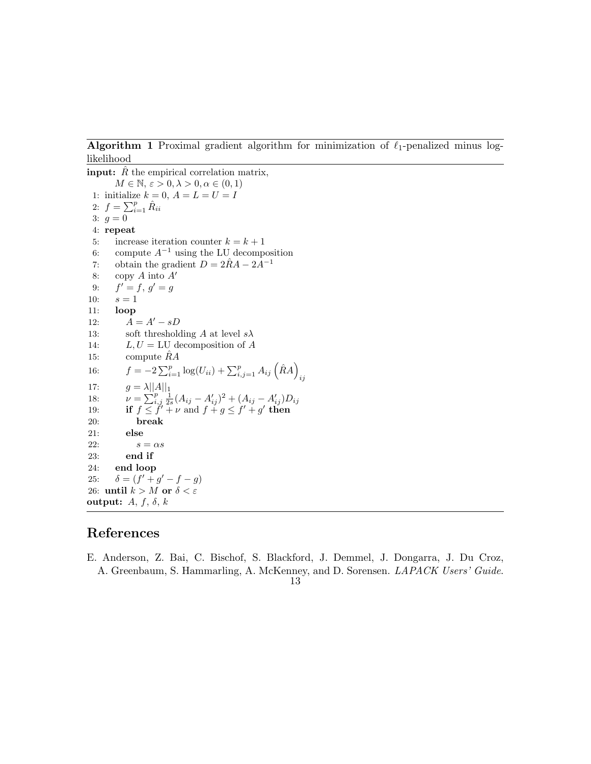<span id="page-12-0"></span>Algorithm 1 Proximal gradient algorithm for minimization of  $\ell_1$ -penalized minus loglikelihood

**input:**  $\hat{R}$  the empirical correlation matrix,  $M \in \mathbb{N}, \varepsilon > 0, \lambda > 0, \alpha \in (0, 1)$ 1: initialize  $k = 0$ ,  $A = L = U = I$ 2:  $f = \sum_{i=1}^{p} \hat{R}_{ii}$ 3:  $g = 0$ 4: repeat 5: increase iteration counter  $k = k + 1$ 6: compute  $A^{-1}$  using the LU decomposition 7: obtain the gradient  $D = 2\hat{R}A - 2A^{-1}$ 8: copy  $A$  into  $A'$ 9: f  $' = f, g' = g$ 10:  $s = 1$ 11: loop 12:  $A = A' - sD$ 13: soft thresholding A at level  $s\lambda$ 14:  $L, U = LU$  decomposition of A 15: compute  $\hat{R}A$ 16:  $f = -2\sum_{i=1}^{p} \log(U_{ii}) + \sum_{i,j=1}^{p} A_{ij}(\hat{R}A)$ ij 17:  $g = \lambda ||A||_1$ 18:  $\nu = \sum_{i,j}^{p} \frac{1}{2s} (A_{ij} - A'_{ij})^2 + (A_{ij} - A'_{ij}) D_{ij}$ 19: if  $f \leq f' + \nu$  and  $f + g \leq f' + g'$  then 20: break 21: else 22:  $s = \alpha s$ 23: end if 24: end loop 25:  $\delta = (f' + g' - f - g)$ 26: until  $k > M$  or  $\delta < \varepsilon$ output:  $A, f, \delta, k$ 

## References

- <span id="page-12-1"></span>E. Anderson, Z. Bai, C. Bischof, S. Blackford, J. Demmel, J. Dongarra, J. Du Croz, A. Greenbaum, S. Hammarling, A. McKenney, and D. Sorensen. LAPACK Users' Guide.
	- 13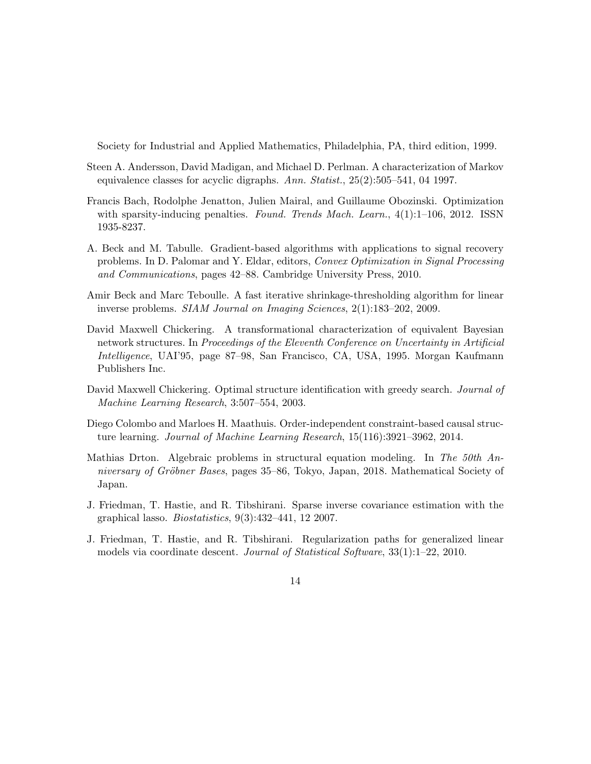Society for Industrial and Applied Mathematics, Philadelphia, PA, third edition, 1999.

- <span id="page-13-4"></span>Steen A. Andersson, David Madigan, and Michael D. Perlman. A characterization of Markov equivalence classes for acyclic digraphs. Ann. Statist., 25(2):505–541, 04 1997.
- <span id="page-13-5"></span>Francis Bach, Rodolphe Jenatton, Julien Mairal, and Guillaume Obozinski. Optimization with sparsity-inducing penalties. Found. Trends Mach. Learn., 4(1):1–106, 2012. ISSN 1935-8237.
- <span id="page-13-6"></span>A. Beck and M. Tabulle. Gradient-based algorithms with applications to signal recovery problems. In D. Palomar and Y. Eldar, editors, Convex Optimization in Signal Processing and Communications, pages 42–88. Cambridge University Press, 2010.
- <span id="page-13-9"></span>Amir Beck and Marc Teboulle. A fast iterative shrinkage-thresholding algorithm for linear inverse problems. SIAM Journal on Imaging Sciences, 2(1):183–202, 2009.
- <span id="page-13-1"></span>David Maxwell Chickering. A transformational characterization of equivalent Bayesian network structures. In Proceedings of the Eleventh Conference on Uncertainty in Artificial Intelligence, UAI'95, page 87–98, San Francisco, CA, USA, 1995. Morgan Kaufmann Publishers Inc.
- <span id="page-13-7"></span>David Maxwell Chickering. Optimal structure identification with greedy search. *Journal of* Machine Learning Research, 3:507–554, 2003.
- <span id="page-13-0"></span>Diego Colombo and Marloes H. Maathuis. Order-independent constraint-based causal structure learning. Journal of Machine Learning Research, 15(116):3921–3962, 2014.
- <span id="page-13-2"></span>Mathias Drton. Algebraic problems in structural equation modeling. In The 50th Anniversary of Gröbner Bases, pages 35–86, Tokyo, Japan, 2018. Mathematical Society of Japan.
- <span id="page-13-3"></span>J. Friedman, T. Hastie, and R. Tibshirani. Sparse inverse covariance estimation with the graphical lasso. Biostatistics, 9(3):432–441, 12 2007.
- <span id="page-13-8"></span>J. Friedman, T. Hastie, and R. Tibshirani. Regularization paths for generalized linear models via coordinate descent. Journal of Statistical Software, 33(1):1–22, 2010.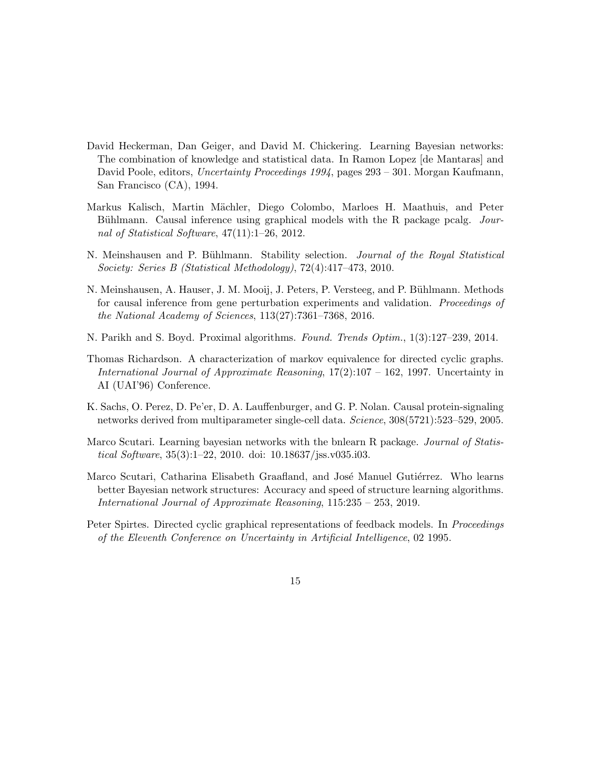- <span id="page-14-3"></span>David Heckerman, Dan Geiger, and David M. Chickering. Learning Bayesian networks: The combination of knowledge and statistical data. In Ramon Lopez [de Mantaras] and David Poole, editors, Uncertainty Proceedings 1994, pages 293 – 301. Morgan Kaufmann, San Francisco (CA), 1994.
- <span id="page-14-5"></span>Markus Kalisch, Martin M¨achler, Diego Colombo, Marloes H. Maathuis, and Peter Bühlmann. Causal inference using graphical models with the R package pcalg. Journal of Statistical Software, 47(11):1–26, 2012.
- <span id="page-14-9"></span>N. Meinshausen and P. Bühlmann. Stability selection. *Journal of the Royal Statistical* Society: Series B (Statistical Methodology), 72(4):417–473, 2010.
- <span id="page-14-8"></span>N. Meinshausen, A. Hauser, J. M. Mooij, J. Peters, P. Versteeg, and P. Bühlmann. Methods for causal inference from gene perturbation experiments and validation. Proceedings of the National Academy of Sciences, 113(27):7361–7368, 2016.
- <span id="page-14-4"></span>N. Parikh and S. Boyd. Proximal algorithms. Found. Trends Optim., 1(3):127–239, 2014.
- <span id="page-14-2"></span>Thomas Richardson. A characterization of markov equivalence for directed cyclic graphs. International Journal of Approximate Reasoning, 17(2):107 – 162, 1997. Uncertainty in AI (UAI'96) Conference.
- <span id="page-14-7"></span>K. Sachs, O. Perez, D. Pe'er, D. A. Lauffenburger, and G. P. Nolan. Causal protein-signaling networks derived from multiparameter single-cell data. Science, 308(5721):523–529, 2005.
- <span id="page-14-6"></span>Marco Scutari. Learning bayesian networks with the bnlearn R package. Journal of Statistical Software, 35(3):1–22, 2010. doi: 10.18637/jss.v035.i03.
- <span id="page-14-0"></span>Marco Scutari, Catharina Elisabeth Graafland, and José Manuel Gutiérrez. Who learns better Bayesian network structures: Accuracy and speed of structure learning algorithms. International Journal of Approximate Reasoning, 115:235 – 253, 2019.
- <span id="page-14-1"></span>Peter Spirtes. Directed cyclic graphical representations of feedback models. In *Proceedings* of the Eleventh Conference on Uncertainty in Artificial Intelligence, 02 1995.